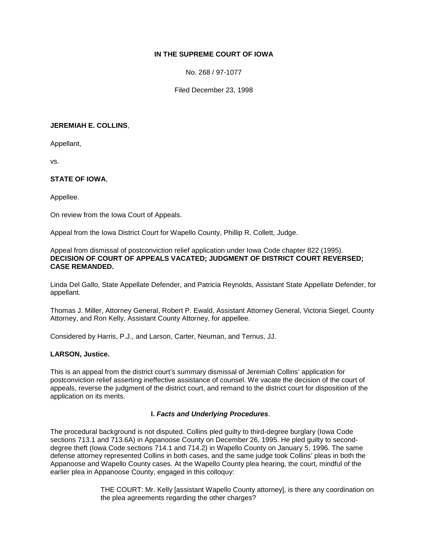# **IN THE SUPREME COURT OF IOWA**

No. 268 / 97-1077

Filed December 23, 1998

#### **JEREMIAH E. COLLINS**,

Appellant,

vs.

# **STATE OF IOWA**,

Appellee.

On review from the Iowa Court of Appeals.

Appeal from the Iowa District Court for Wapello County, Phillip R. Collett, Judge.

#### Appeal from dismissal of postconviction relief application under Iowa Code chapter 822 (1995). **DECISION OF COURT OF APPEALS VACATED; JUDGMENT OF DISTRICT COURT REVERSED; CASE REMANDED.**

Linda Del Gallo, State Appellate Defender, and Patricia Reynolds, Assistant State Appellate Defender, for appellant.

Thomas J. Miller, Attorney General, Robert P. Ewald, Assistant Attorney General, Victoria Siegel, County Attorney, and Ron Kelly, Assistant County Attorney, for appellee.

Considered by Harris, P.J., and Larson, Carter, Neuman, and Ternus, JJ.

### **LARSON, Justice.**

This is an appeal from the district court's summary dismissal of Jeremiah Collins' application for postconviction relief asserting ineffective assistance of counsel. We vacate the decision of the court of appeals, reverse the judgment of the district court, and remand to the district court for disposition of the application on its merits.

# **I.** *Facts and Underlying Procedures*.

The procedural background is not disputed. Collins pled guilty to third-degree burglary (Iowa Code sections 713.1 and 713.6A) in Appanoose County on December 26, 1995. He pled guilty to seconddegree theft (Iowa Code sections 714.1 and 714.2) in Wapello County on January 5, 1996. The same defense attorney represented Collins in both cases, and the same judge took Collins' pleas in both the Appanoose and Wapello County cases. At the Wapello County plea hearing, the court, mindful of the earlier plea in Appanoose County, engaged in this colloquy:

> THE COURT: Mr. Kelly [assistant Wapello County attorney], is there any coordination on the plea agreements regarding the other charges?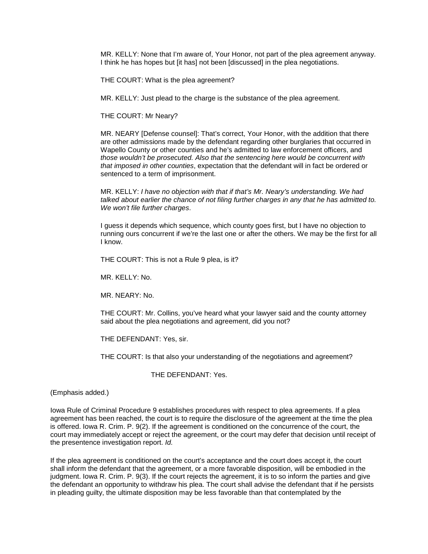MR. KELLY: None that I'm aware of, Your Honor, not part of the plea agreement anyway. I think he has hopes but [it has] not been [discussed] in the plea negotiations.

THE COURT: What is the plea agreement?

MR. KELLY: Just plead to the charge is the substance of the plea agreement.

THE COURT: Mr Neary?

MR. NEARY [Defense counsel]: That's correct, Your Honor, with the addition that there are other admissions made by the defendant regarding other burglaries that occurred in Wapello County or other counties and he's admitted to law enforcement officers, and *those wouldn't be prosecuted. Also that the sentencing here would be concurrent with that imposed in other counties*, expectation that the defendant will in fact be ordered or sentenced to a term of imprisonment.

MR. KELLY: *I have no objection with that if that's Mr. Neary's understanding. We had talked about earlier the chance of not filing further charges in any that he has admitted to. We won't file further charges*.

I guess it depends which sequence, which county goes first, but I have no objection to running ours concurrent if we're the last one or after the others. We may be the first for all I know.

THE COURT: This is not a Rule 9 plea, is it?

MR. KELLY: No.

MR. NEARY: No.

THE COURT: Mr. Collins, you've heard what your lawyer said and the county attorney said about the plea negotiations and agreement, did you not?

THE DEFENDANT: Yes, sir.

THE COURT: Is that also your understanding of the negotiations and agreement?

THE DEFENDANT: Yes.

(Emphasis added.)

Iowa Rule of Criminal Procedure 9 establishes procedures with respect to plea agreements. If a plea agreement has been reached, the court is to require the disclosure of the agreement at the time the plea is offered. Iowa R. Crim. P. 9(2). If the agreement is conditioned on the concurrence of the court, the court may immediately accept or reject the agreement, or the court may defer that decision until receipt of the presentence investigation report. *Id.*

If the plea agreement is conditioned on the court's acceptance and the court does accept it, the court shall inform the defendant that the agreement, or a more favorable disposition, will be embodied in the judgment. Iowa R. Crim. P. 9(3). If the court rejects the agreement, it is to so inform the parties and give the defendant an opportunity to withdraw his plea. The court shall advise the defendant that if he persists in pleading guilty, the ultimate disposition may be less favorable than that contemplated by the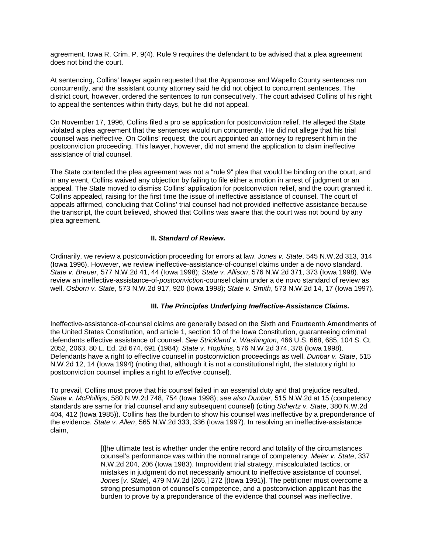agreement. Iowa R. Crim. P. 9(4). Rule 9 requires the defendant to be advised that a plea agreement does not bind the court.

At sentencing, Collins' lawyer again requested that the Appanoose and Wapello County sentences run concurrently, and the assistant county attorney said he did not object to concurrent sentences. The district court, however, ordered the sentences to run consecutively. The court advised Collins of his right to appeal the sentences within thirty days, but he did not appeal.

On November 17, 1996, Collins filed a pro se application for postconviction relief. He alleged the State violated a plea agreement that the sentences would run concurrently. He did not allege that his trial counsel was ineffective. On Collins' request, the court appointed an attorney to represent him in the postconviction proceeding. This lawyer, however, did not amend the application to claim ineffective assistance of trial counsel.

The State contended the plea agreement was not a "rule 9" plea that would be binding on the court, and in any event, Collins waived any objection by failing to file either a motion in arrest of judgment or an appeal. The State moved to dismiss Collins' application for postconviction relief, and the court granted it. Collins appealed, raising for the first time the issue of ineffective assistance of counsel. The court of appeals affirmed, concluding that Collins' trial counsel had not provided ineffective assistance because the transcript, the court believed, showed that Collins was aware that the court was not bound by any plea agreement.

# **II.** *Standard of Review.*

Ordinarily, we review a postconviction proceeding for errors at law. *Jones v. State*, 545 N.W.2d 313, 314 (Iowa 1996). However, we review ineffective-assistance-of-counsel claims under a de novo standard. *State v. Breuer*, 577 N.W.2d 41, 44 (Iowa 1998); *State v. Allison*, 576 N.W.2d 371, 373 (Iowa 1998). We review an ineffective-assistance-of-*postconviction*-counsel claim under a de novo standard of review as well. *Osborn v. State*, 573 N.W.2d 917, 920 (Iowa 1998); *State v. Smith*, 573 N.W.2d 14, 17 (Iowa 1997).

#### **III.** *The Principles Underlying Ineffective-Assistance Claims.*

Ineffective-assistance-of-counsel claims are generally based on the Sixth and Fourteenth Amendments of the United States Constitution, and article 1, section 10 of the Iowa Constitution, guaranteeing criminal defendants effective assistance of counsel. *See Strickland v. Washington*, 466 U.S. 668, 685, 104 S. Ct. 2052, 2063, 80 L. Ed. 2d 674, 691 (1984); *State v. Hopkins*, 576 N.W.2d 374, 378 (Iowa 1998). Defendants have a right to effective counsel in postconviction proceedings as well. *Dunbar v. State*, 515 N.W.2d 12, 14 (Iowa 1994) (noting that, although it is not a constitutional right, the statutory right to postconviction counsel implies a right to *effective* counsel).

To prevail, Collins must prove that his counsel failed in an essential duty and that prejudice resulted. *State v. McPhillips*, 580 N.W.2d 748, 754 (Iowa 1998); *see also Dunbar*, 515 N.W.2d at 15 (competency standards are same for trial counsel and any subsequent counsel) (citing *Schertz v. State*, 380 N.W.2d 404, 412 (Iowa 1985)). Collins has the burden to show his counsel was ineffective by a preponderance of the evidence. *State v. Allen*, 565 N.W.2d 333, 336 (Iowa 1997). In resolving an ineffective-assistance claim,

> [t]he ultimate test is whether under the entire record and totality of the circumstances counsel's performance was within the normal range of competency. *Meier v. State*, 337 N.W.2d 204, 206 (Iowa 1983). Improvident trial strategy, miscalculated tactics, or mistakes in judgment do not necessarily amount to ineffective assistance of counsel. *Jones* [*v. State*], 479 N.W.2d [265,] 272 [(Iowa 1991)]. The petitioner must overcome a strong presumption of counsel's competence, and a postconviction applicant has the burden to prove by a preponderance of the evidence that counsel was ineffective.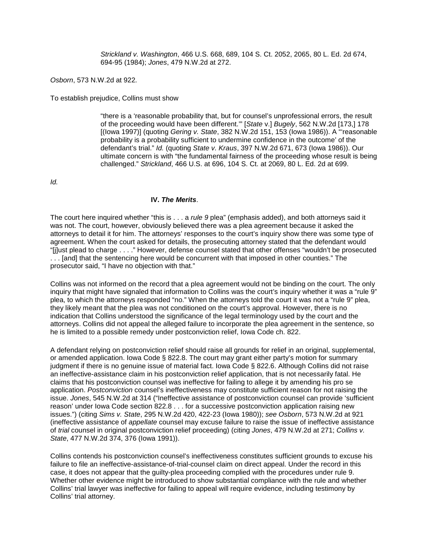*Strickland v. Washington*, 466 U.S. 668, 689, 104 S. Ct. 2052, 2065, 80 L. Ed. 2d 674, 694-95 (1984); *Jones*, 479 N.W.2d at 272.

*Osborn*, 573 N.W.2d at 922*.*

To establish prejudice, Collins must show

"there is a 'reasonable probability that, but for counsel's unprofessional errors, the result of the proceeding would have been different.'" [*State* v.] *Bugely*, 562 N.W.2d [173,] 178 [(Iowa 1997)] (quoting *Gering v. State*, 382 N.W.2d 151, 153 (Iowa 1986)). A "'reasonable probability is a probability sufficient to undermine confidence in the outcome' of the defendant's trial." *Id.* (quoting *State v. Kraus*, 397 N.W.2d 671, 673 (Iowa 1986)). Our ultimate concern is with "the fundamental fairness of the proceeding whose result is being challenged." *Strickland*, 466 U.S. at 696, 104 S. Ct. at 2069, 80 L. Ed. 2d at 699.

*Id.*

#### **IV.** *The Merits*.

The court here inquired whether "this is . . . a *rule 9* plea" (emphasis added), and both attorneys said it was not. The court, however, obviously believed there was a plea agreement because it asked the attorneys to detail it for him. The attorneys' responses to the court's inquiry show there was some type of agreement. When the court asked for details, the prosecuting attorney stated that the defendant would "[j]ust plead to charge . . . ." However, defense counsel stated that other offenses "wouldn't be prosecuted ... [and] that the sentencing here would be concurrent with that imposed in other counties." The prosecutor said, "I have no objection with that."

Collins was not informed on the record that a plea agreement would not be binding on the court. The only inquiry that might have signaled that information to Collins was the court's inquiry whether it was a "rule 9" plea, to which the attorneys responded "no." When the attorneys told the court it was not a "rule 9" plea, they likely meant that the plea was not conditioned on the court's approval. However, there is no indication that Collins understood the significance of the legal terminology used by the court and the attorneys. Collins did not appeal the alleged failure to incorporate the plea agreement in the sentence, so he is limited to a possible remedy under postconviction relief, Iowa Code ch. 822.

A defendant relying on postconviction relief should raise all grounds for relief in an original, supplemental, or amended application. Iowa Code § 822.8. The court may grant either party's motion for summary judgment if there is no genuine issue of material fact. Iowa Code § 822.6. Although Collins did not raise an ineffective-assistance claim in his postconviction relief application, that is not necessarily fatal. He claims that his postconviction counsel was ineffective for failing to allege it by amending his pro se application. *Postconviction* counsel's ineffectiveness may constitute sufficient reason for not raising the issue. *Jones*, 545 N.W.2d at 314 ("Ineffective assistance of postconviction counsel can provide 'sufficient reason' under Iowa Code section 822.8 . . . for a successive postconviction application raising new issues.") (citing *Sims v. State*, 295 N.W.2d 420, 422-23 (Iowa 1980)); *see Osborn*, 573 N.W.2d at 921 (ineffective assistance of *appellate* counsel may excuse failure to raise the issue of ineffective assistance of *trial* counsel in original postconviction relief proceeding) (citing *Jones*, 479 N.W.2d at 271; *Collins v. State*, 477 N.W.2d 374, 376 (Iowa 1991)).

Collins contends his postconviction counsel's ineffectiveness constitutes sufficient grounds to excuse his failure to file an ineffective-assistance-of-trial-counsel claim on direct appeal. Under the record in this case, it does not appear that the guilty-plea proceeding complied with the procedures under rule 9. Whether other evidence might be introduced to show substantial compliance with the rule and whether Collins' trial lawyer was ineffective for failing to appeal will require evidence, including testimony by Collins' trial attorney.